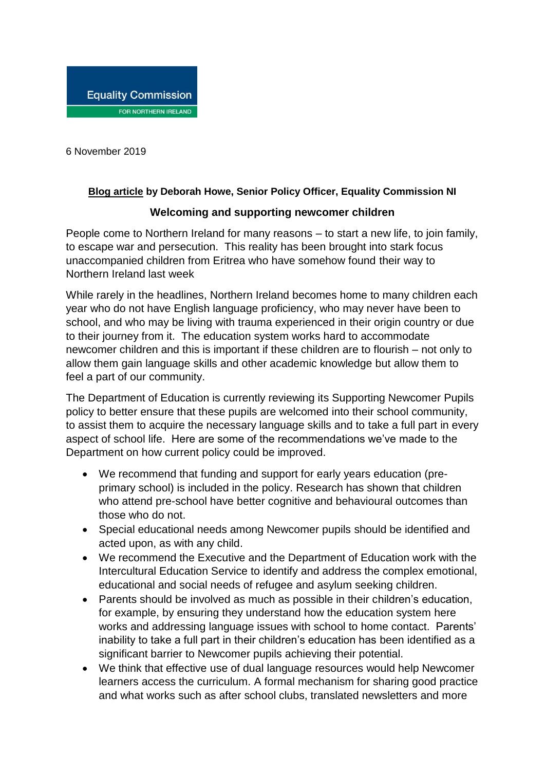6 November 2019

## **[Blog article](http://www.equalityni.org/Blog) by Deborah Howe, Senior Policy Officer, Equality Commission NI**

## **Welcoming and supporting newcomer children**

People come to Northern Ireland for many reasons – to start a new life, to join family, to escape war and persecution. This reality has been brought into stark focus unaccompanied children from Eritrea who have somehow found their way to Northern Ireland last week

While rarely in the headlines, Northern Ireland becomes home to many children each year who do not have English language proficiency, who may never have been to school, and who may be living with trauma experienced in their origin country or due to their journey from it. The education system works hard to accommodate newcomer children and this is important if these children are to flourish – not only to allow them gain language skills and other academic knowledge but allow them to feel a part of our community.

The Department of Education is currently reviewing its Supporting Newcomer Pupils policy to better ensure that these pupils are welcomed into their school community, to assist them to acquire the necessary language skills and to take a full part in every aspect of school life. Here are some of the recommendations we've made to the Department on how current policy could be improved.

- We recommend that funding and support for early years education (preprimary school) is included in the policy. Research has shown that children who attend pre-school have better cognitive and behavioural outcomes than those who do not.
- Special educational needs among Newcomer pupils should be identified and acted upon, as with any child.
- We recommend the Executive and the Department of Education work with the Intercultural Education Service to identify and address the complex emotional, educational and social needs of refugee and asylum seeking children.
- Parents should be involved as much as possible in their children's education, for example, by ensuring they understand how the education system here works and addressing language issues with school to home contact. Parents' inability to take a full part in their children's education has been identified as a significant barrier to Newcomer pupils achieving their potential.
- We think that effective use of dual language resources would help Newcomer learners access the curriculum. A formal mechanism for sharing good practice and what works such as after school clubs, translated newsletters and more